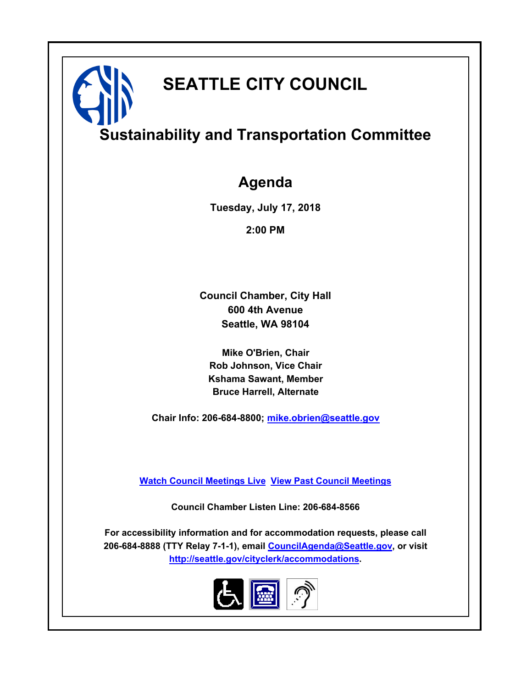# **SEATTLE CITY COUNCIL**

# **Sustainability and Transportation Committee**

### **Agenda**

**Tuesday, July 17, 2018**

**2:00 PM**

**Council Chamber, City Hall 600 4th Avenue Seattle, WA 98104**

**Mike O'Brien, Chair Rob Johnson, Vice Chair Kshama Sawant, Member Bruce Harrell, Alternate**

**Chair Info: 206-684-8800; [mike.obrien@seattle.gov](mailto:mike.obrien@seattle.gov)**

**[Watch Council Meetings Live](http://www.seattle.gov/council/councillive.htm) [View Past Council Meetings](http://www.seattlechannel.org/videos/browseVideos.asp?topic=council)**

**Council Chamber Listen Line: 206-684-8566**

**For accessibility information and for accommodation requests, please call 206-684-8888 (TTY Relay 7-1-1), email [CouncilAgenda@Seattle.gov](mailto:CouncilAgenda@Seattle.gov), or visit <http://seattle.gov/cityclerk/accommodations>.**

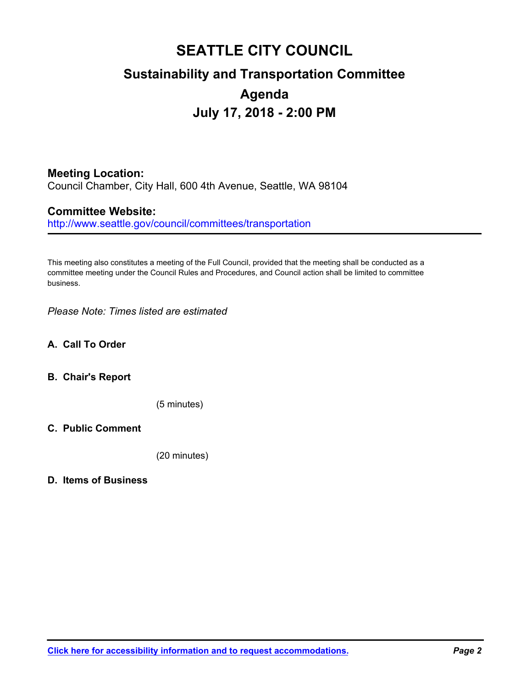## **SEATTLE CITY COUNCIL Sustainability and Transportation Committee Agenda July 17, 2018 - 2:00 PM**

### **Meeting Location:**

Council Chamber, City Hall, 600 4th Avenue, Seattle, WA 98104

#### **Committee Website:**

http://www.seattle.gov/council/committees/transportation

This meeting also constitutes a meeting of the Full Council, provided that the meeting shall be conducted as a committee meeting under the Council Rules and Procedures, and Council action shall be limited to committee business.

*Please Note: Times listed are estimated*

#### **A. Call To Order**

#### **B. Chair's Report**

(5 minutes)

#### **C. Public Comment**

(20 minutes)

#### **D. Items of Business**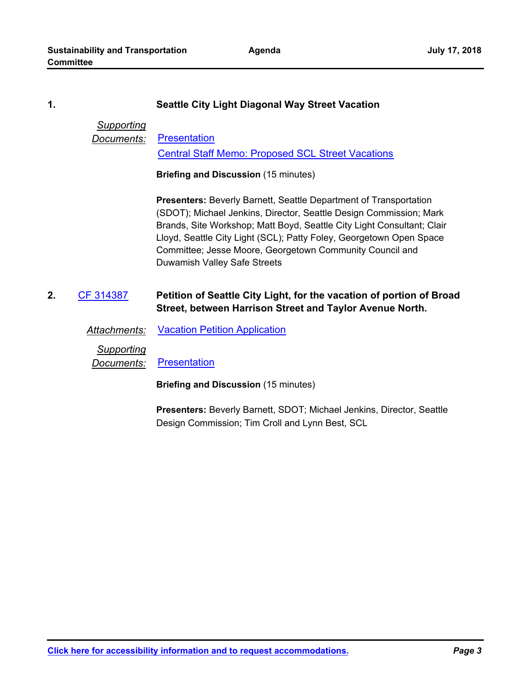**Agenda**

#### **1. Seattle City Light Diagonal Way Street Vacation**

#### *Supporting* **Documents:** [Presentation](http://seattle.legistar.com/gateway.aspx?M=F&ID=47d647f0-b389-4df0-aa9a-50c88df76a15.pptx)

[Central Staff Memo: Proposed SCL Street Vacations](http://seattle.legistar.com/gateway.aspx?M=F&ID=67e25815-1b10-4875-a35c-49bdfa5b633a.pdf)

**Briefing and Discussion** (15 minutes)

**Presenters:** Beverly Barnett, Seattle Department of Transportation (SDOT); Michael Jenkins, Director, Seattle Design Commission; Mark Brands, Site Workshop; Matt Boyd, Seattle City Light Consultant; Clair Lloyd, Seattle City Light (SCL); Patty Foley, Georgetown Open Space Committee; Jesse Moore, Georgetown Community Council and Duwamish Valley Safe Streets

**Petition of Seattle City Light, for the vacation of portion of Broad Street, between Harrison Street and Taylor Avenue North. 2.** [CF 314387](http://seattle.legistar.com/gateway.aspx?m=l&id=/matter.aspx?key=6715)

*Attachments:* [Vacation Petition Application](http://seattle.legistar.com/gateway.aspx?M=F&ID=b233d5e9-f618-4d93-870d-fd3948541185.pdf)

*Supporting*

*Documents:* [Presentation](http://seattle.legistar.com/gateway.aspx?M=F&ID=27ee39e0-83c5-4883-98b8-2d7789f87d57.pdf)

**Briefing and Discussion** (15 minutes)

**Presenters:** Beverly Barnett, SDOT; Michael Jenkins, Director, Seattle Design Commission; Tim Croll and Lynn Best, SCL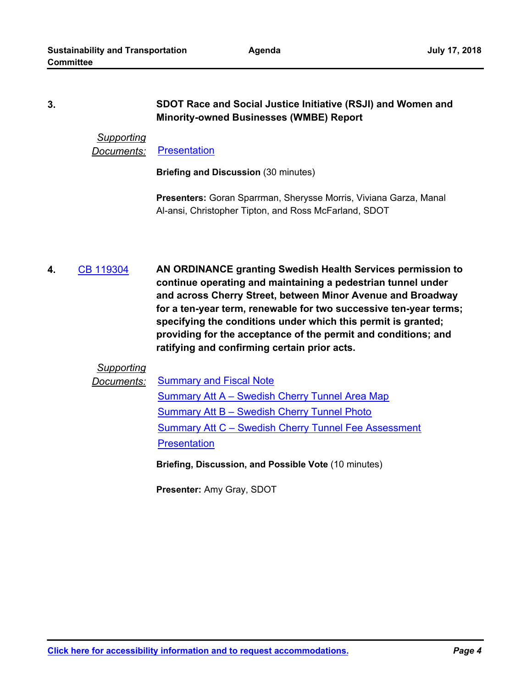#### **SDOT Race and Social Justice Initiative (RSJI) and Women and Minority-owned Businesses (WMBE) Report 3.**

#### *Supporting Documents:* [Presentation](http://seattle.legistar.com/gateway.aspx?M=F&ID=24f7bc21-9448-448f-9aaa-6c480531b908.pdf)

**Briefing and Discussion** (30 minutes)

**Presenters:** Goran Sparrman, Sherysse Morris, Viviana Garza, Manal Al-ansi, Christopher Tipton, and Ross McFarland, SDOT

**AN ORDINANCE granting Swedish Health Services permission to continue operating and maintaining a pedestrian tunnel under and across Cherry Street, between Minor Avenue and Broadway for a ten-year term, renewable for two successive ten-year terms; specifying the conditions under which this permit is granted; providing for the acceptance of the permit and conditions; and ratifying and confirming certain prior acts. 4.** [CB 119304](http://seattle.legistar.com/gateway.aspx?m=l&id=/matter.aspx?key=6928)

#### *Supporting*

**Documents:** [Summary and Fiscal Note](http://seattle.legistar.com/gateway.aspx?M=F&ID=6d50bf17-2327-4dbf-af4c-40e077519e27.docx) [Summary Att A – Swedish Cherry Tunnel Area Map](http://seattle.legistar.com/gateway.aspx?M=F&ID=7060bcef-f05b-4f87-ad3a-6be3ebac8965.docx)

[Summary Att B – Swedish Cherry Tunnel Photo](http://seattle.legistar.com/gateway.aspx?M=F&ID=206f4f76-1376-401f-b8ee-e2b67085b172.docx) [Summary Att C – Swedish Cherry Tunnel Fee Assessment](http://seattle.legistar.com/gateway.aspx?M=F&ID=6b509847-d4bf-4add-9000-85bc0bf8737b.docx) **[Presentation](http://seattle.legistar.com/gateway.aspx?M=F&ID=7624a395-f229-48bb-a6b5-383dbea30ee0.pdf)** 

**Briefing, Discussion, and Possible Vote** (10 minutes)

**Presenter:** Amy Gray, SDOT